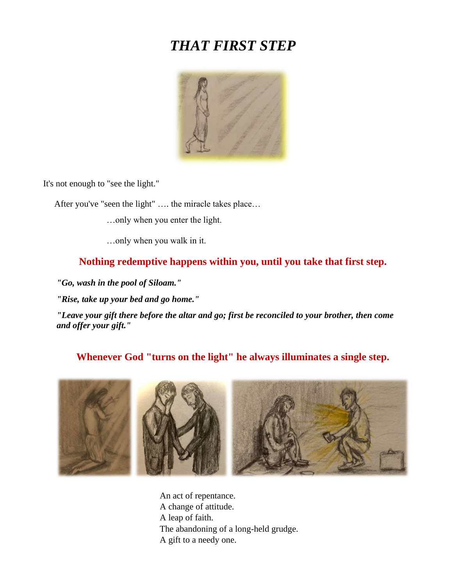# *THAT FIRST STEP*



It's not enough to "see the light."

After you've "seen the light" …. the miracle takes place…

…only when you enter the light.

…only when you walk in it.

### **Nothing redemptive happens within you, until you take that first step.**

*"Go, wash in the pool of Siloam."*

*"Rise, take up your bed and go home."*

*"Leave your gift there before the altar and go; first be reconciled to your brother, then come and offer your gift."*

### **Whenever God "turns on the light" he always illuminates a single step.**



An act of repentance. A change of attitude. A leap of faith. The abandoning of a long-held grudge. A gift to a needy one.